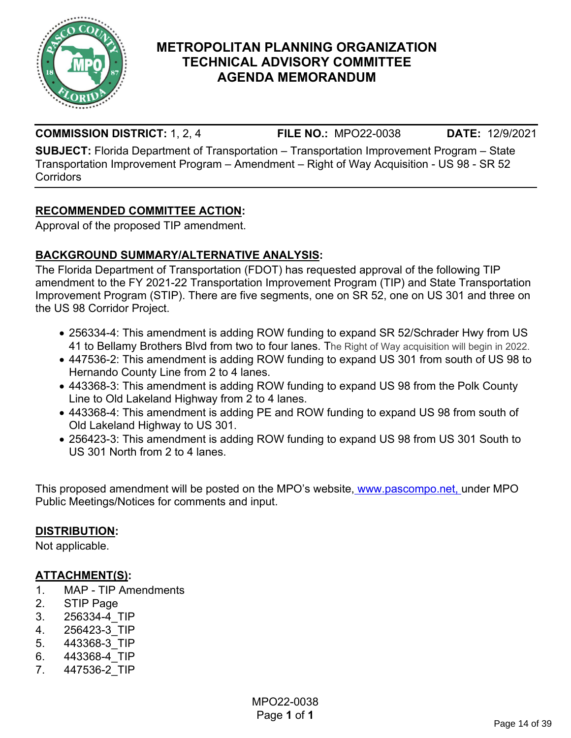

### **METROPOLITAN PLANNING ORGANIZATION TECHNICAL ADVISORY COMMITTEE AGENDA MEMORANDUM**

#### **COMMISSION DISTRICT:** 1, 2, 4 **FILE NO.:** MPO22-0038 **DATE:** 12/9/2021

**SUBJECT:** Florida Department of Transportation – Transportation Improvement Program – State Transportation Improvement Program – Amendment – Right of Way Acquisition - US 98 - SR 52 **Corridors** 

#### **RECOMMENDED COMMITTEE ACTION:**

Approval of the proposed TIP amendment.

#### **BACKGROUND SUMMARY/ALTERNATIVE ANALYSIS:**

The Florida Department of Transportation (FDOT) has requested approval of the following TIP amendment to the FY 2021-22 Transportation Improvement Program (TIP) and State Transportation Improvement Program (STIP). There are five segments, one on SR 52, one on US 301 and three on the US 98 Corridor Project.

- 256334-4: This amendment is adding ROW funding to expand SR 52/Schrader Hwy from US 41 to Bellamy Brothers Blvd from two to four lanes. The Right of Way acquisition will begin in 2022.
- 447536-2: This amendment is adding ROW funding to expand US 301 from south of US 98 to Hernando County Line from 2 to 4 lanes.
- 443368-3: This amendment is adding ROW funding to expand US 98 from the Polk County Line to Old Lakeland Highway from 2 to 4 lanes.
- 443368-4: This amendment is adding PE and ROW funding to expand US 98 from south of Old Lakeland Highway to US 301.
- 256423-3: This amendment is adding ROW funding to expand US 98 from US 301 South to US 301 North from 2 to 4 lanes.

This proposed amendment will be posted on the MPO's website[, www.pascompo.net, u](http://www.pascompo.net/)nder MPO Public Meetings/Notices for comments and input.

#### **DISTRIBUTION:**

Not applicable.

#### **ATTACHMENT(S):**

- 1. MAP TIP Amendments
- 2. STIP Page
- 3. 256334-4\_TIP
- 4. 256423-3\_TIP
- 5. 443368-3\_TIP
- 6. 443368-4\_TIP
- 7. 447536-2\_TIP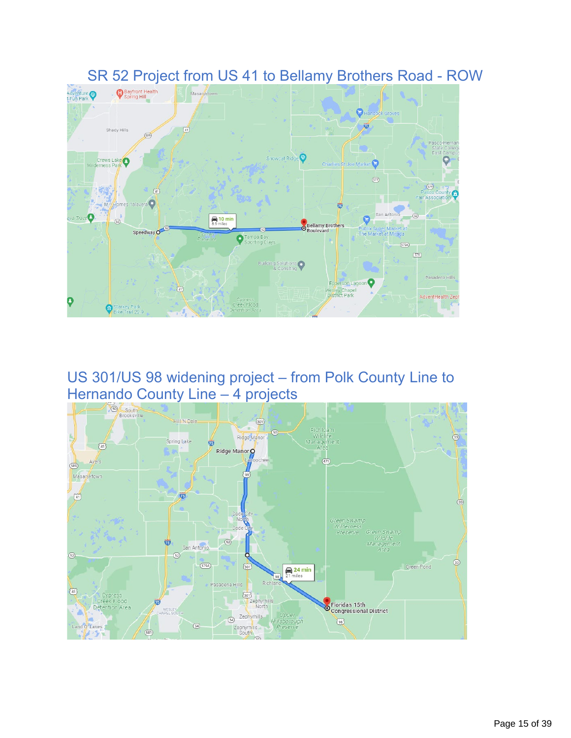

## SR 52 Project from US 41 to Bellamy Brothers Road - ROW

# US 301/US 98 widening project – from Polk County Line to

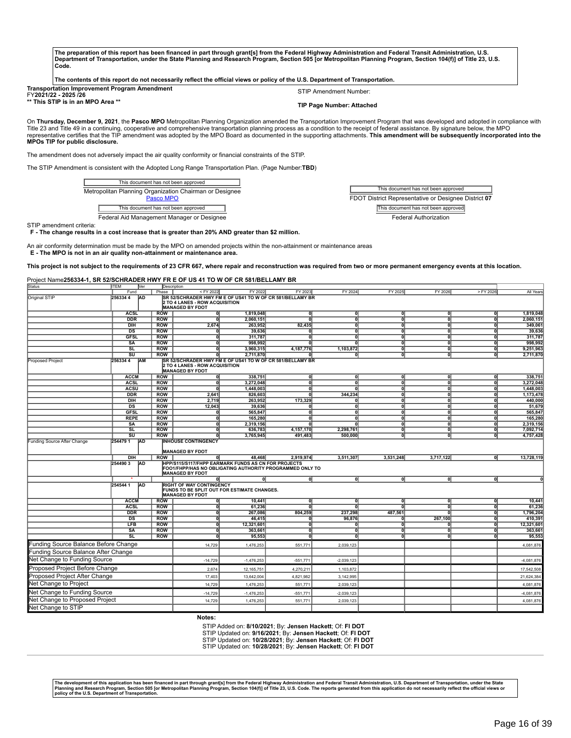| The preparation of this report has been financed in part through grant[s] from the Federal Highway Administration and Federal Transit Administration, U.S.    |  |
|---------------------------------------------------------------------------------------------------------------------------------------------------------------|--|
| Department of Transportation, under the State Planning and Research Program, Section 505 [or Metropolitan Planning Program, Section 104(f)] of Title 23, U.S. |  |
| Code.                                                                                                                                                         |  |

| The contents of this report do not necessarily reflect the official views or policy of the U.S. Department of Transportation. |  |
|-------------------------------------------------------------------------------------------------------------------------------|--|
|-------------------------------------------------------------------------------------------------------------------------------|--|

| <b>Transportation Improvement Program Amendment</b> | STIP Amendment Number:           |
|-----------------------------------------------------|----------------------------------|
| FY2021/22 - 2025 /26                                |                                  |
| ** This STIP is in an MPO Area **                   | <b>TIP Page Number: Attached</b> |

On **Thursday, December 9, 2021**, the **Pasco MPO** Metropolitan Planning Organization amended the Transportation Improvement Program that was developed and adopted in compliance with Title 23 and Title 49 in a continuing, cooperative and comprehensive transportation planning process as a condition to the receipt of federal assistance. By signature below, the MPO<br>representative certifies that the TIP am **MPOs TIP for public disclosure.**

The amendment does not adversely impact the air quality conformity or financial constraints of the STIP.

The STIP Amendment is consistent with the Adopted Long Range Transportation Plan. (Page Number:**TBD**)

| This document has not been approved                                  |
|----------------------------------------------------------------------|
| Metropolitan Planning Organization Chairman or Designee<br>Pasco MPO |
| This document has not been approved                                  |
| Federal Aid Management Manager or Designee                           |

This document has not been approved FDOT District Representative or Designee District **07** This document has not been approved Federal Authorization

STIP amendment criteria:

F - The change results in a cost increase that is greater than 20% AND greater than \$2 million.

An air conformity determination must be made by the MPO on amended projects within the non-attainment or maintenance areas **E - The MPO is not in an air quality non-attainment or maintenance area.**

This project is not subject to the requirements of 23 CFR 667, where repair and reconstruction was required from two or more permanent emergency events at this location.

#### Project Name**256334-1, SR 52/SCHRADER HWY FR E OF US 41 TO W OF CR 581/BELLAMY BR**

| Status                               | <b>IITEM</b>                      | Ner       | Description              |                                                                                                                                                        |                                                                                                                 |                           |                |                           |           |                                                    |                       |
|--------------------------------------|-----------------------------------|-----------|--------------------------|--------------------------------------------------------------------------------------------------------------------------------------------------------|-----------------------------------------------------------------------------------------------------------------|---------------------------|----------------|---------------------------|-----------|----------------------------------------------------|-----------------------|
|                                      | Fund                              |           | Phase                    | <fy 2022<="" td=""><td>FY 2022</td><td>FY 2023</td><td><b>FY 2024</b></td><td>FY 2025</td><td>FY 2026</td><td>&gt; FY 2026</td><td>All Years</td></fy> | FY 2022                                                                                                         | FY 2023                   | <b>FY 2024</b> | FY 2025                   | FY 2026   | > FY 2026                                          | All Years             |
| Original STIP                        | 2563344                           | <b>AD</b> |                          | 2 TO 4 LANES - ROW ACQUISITION<br><b>MANAGED BY FDOT</b>                                                                                               | SR 52/SCHRADER HWY FM E OF US41 TO W OF CR 581/BELLAMY BR                                                       |                           |                |                           |           |                                                    |                       |
|                                      | <b>ACSL</b>                       |           | <b>ROW</b>               | 0l                                                                                                                                                     | 1,819,048                                                                                                       | $\mathbf{0}$              | ٥l             | $\overline{\mathfrak{g}}$ | 0         | $\mathbf{0}$                                       | 1,819,048             |
|                                      | <b>DDR</b>                        |           | <b>ROW</b>               | $\overline{0}$                                                                                                                                         | 2,060,151                                                                                                       |                           | កា             | ᅙ                         | n         | ក                                                  | 2,060,151             |
|                                      | $\overline{DH}$                   |           | <b>ROW</b>               | 2,674                                                                                                                                                  | 263,952                                                                                                         | 82,435                    | ٥I             | ᅁ                         | $\Omega$  | $\Omega$                                           | 349,061               |
|                                      | DS                                |           | <b>ROW</b>               | 0                                                                                                                                                      | 39,636                                                                                                          | ក                         | ol             | ᇭ                         | $\Omega$  | $\overline{\mathbf{0}}$                            | 39,636                |
|                                      | <b>GFSL</b>                       |           | <b>ROW</b>               | 이                                                                                                                                                      | 311,787                                                                                                         | $\overline{\mathfrak{o}}$ | 히              | ᅙ                         | $\Omega$  | 히                                                  | 311,787               |
|                                      | $\overline{\text{SA}}$            |           | <b>ROW</b>               | ᅁ                                                                                                                                                      | 998,992                                                                                                         | ol                        | oľ             | ᅙ                         | 0l        | $\overline{\mathbf{0}}$                            | 998,992               |
|                                      | <b>SL</b>                         |           | <b>ROW</b>               | ᅁ                                                                                                                                                      | 3,960,315                                                                                                       | 4,187,776                 | 1,103,872      | ᅙ                         | 히         | ol                                                 | 9,251,963             |
|                                      | $\overline{\mathsf{s}\mathsf{u}}$ |           | <b>ROW</b>               | 0l                                                                                                                                                     | 2,711,870                                                                                                       | n                         | n١             | ᇭ                         | ٥I        | 히                                                  | 2,711,870             |
| Proposed Project                     | 2563344                           | <b>AM</b> |                          | 2 TO 4 LANES - ROW ACQUISITION<br><b>MANAGED BY FDOT</b>                                                                                               | SR 52/SCHRADER HWY FM E OF US41 TO W OF CR 581/BELLAMY BR                                                       |                           |                |                           |           |                                                    |                       |
|                                      | <b>ACCM</b>                       |           | <b>ROW</b>               | 0                                                                                                                                                      | 338,751                                                                                                         | $\mathbf{0}$              | 0              | 이                         |           | o                                                  | 338,751               |
|                                      | <b>ACSL</b>                       |           | <b>ROW</b>               | $\overline{0}$                                                                                                                                         | 3,272,048                                                                                                       | ol                        | ol             | ᅙ                         | $\Omega$  | $\overline{\mathbf{0}}$                            | 3,272,048             |
|                                      | <b>ACSU</b>                       |           | <b>ROW</b>               | 0                                                                                                                                                      | 1,448,003                                                                                                       | 0l                        | 0              | ᅁ                         | $\Omega$  | $\overline{\mathfrak{o}}$                          | 1,448,003             |
|                                      | <b>DDR</b>                        |           | <b>ROW</b>               | 2,641                                                                                                                                                  | 826,603                                                                                                         | 0l                        | 344,234        | न                         | n         | 히                                                  | 1,173,478             |
|                                      | DIH                               |           | <b>ROW</b>               | 2,719                                                                                                                                                  | 263,952                                                                                                         | 173,329                   | ក              | ᅙ                         |           | $\overline{\mathbf{0}}$                            | 440,000               |
|                                      | DS                                |           | <b>ROW</b>               | 12,043                                                                                                                                                 | 39,636                                                                                                          | $\Omega$                  | ᅁ              | ᅙ                         | $\Omega$  | $\overline{\mathbf{0}}$                            | 51,679                |
|                                      | <b>GFSL</b>                       |           | <b>ROW</b>               | $\mathbf{0}$                                                                                                                                           | 565,847                                                                                                         | Û<br>$\mathbf{0}$         | o١<br>o١       | ᅙ                         |           | $\overline{\mathbf{0}}$                            | 565,847               |
|                                      | <b>REPE</b><br><b>SA</b>          |           | <b>ROW</b><br><b>ROW</b> | $\mathbf{0}$<br>0                                                                                                                                      | 165,280<br>2,319,156                                                                                            | $\Omega$                  | o١             | $\overline{0}$<br>ᅙ       | $\Omega$  | $\mathbf{0}$<br>$\overline{\mathbf{0}}$            | 165,280<br>2,319,156  |
|                                      | SL                                |           | <b>ROW</b>               | 0                                                                                                                                                      | 636,783                                                                                                         | 4,157,170                 | 2,298,761      | ᅁ                         | $\Omega$  | $\overline{\mathbf{0}}$                            | 7,092,714             |
|                                      | $\overline{\mathsf{s}\mathsf{u}}$ |           | <b>ROW</b>               | $\mathbf{0}$                                                                                                                                           | 3,765,945                                                                                                       | 491,483                   | 500,000        | 이                         | $\Omega$  | $\overline{\mathbf{0}}$                            | 4,757,428             |
| Funding Source After Change          | 254479 1<br>DIH                   | <b>AD</b> | <b>ROW</b>               | <b>INHOUSE CONTINGENCY</b><br><b>MANAGED BY FDOT</b><br>ᇭ                                                                                              | 48.468                                                                                                          | 2.919.974                 | 3,511,307      | 3,531,248                 | 3,717,122 | ०ा                                                 | 13,728,119            |
|                                      | 254490 3                          | <b>AD</b> |                          | <b>MANAGED BY FDOT</b>                                                                                                                                 | HPP/S115/S117/FHPP EARMARK FUNDS AS CN FOR PROJECTS<br>FOO1/FHPP/HAS NO OBLIGATING AUTHORITY PROGRAMMED ONLY TO |                           |                |                           |           |                                                    |                       |
|                                      |                                   |           |                          | ᅁ                                                                                                                                                      | 히                                                                                                               | 히                         | ᅁ              | ᅁ                         | ᅁ         | ol                                                 |                       |
|                                      | 2545441                           | <b>AD</b> |                          | <b>RIGHT OF WAY CONTINGENCY</b><br><b>MANAGED BY FDOT</b>                                                                                              | FUNDS TO BE SPLIT OUT FOR ESTIMATE CHANGES.                                                                     |                           |                |                           |           |                                                    |                       |
|                                      | <b>ACCM</b>                       |           | <b>ROW</b>               | 0                                                                                                                                                      | 10,441                                                                                                          | $\mathbf{0}$              | ٥l             | $\overline{\mathbf{0}}$   |           | $\mathbf{0}$                                       | 10,441                |
|                                      | <b>ACSL</b>                       |           | <b>ROW</b>               | 0                                                                                                                                                      | 61,236                                                                                                          | <sub>0</sub>              | o١             | $\overline{0}$            | $\Omega$  | $\mathbf{0}$                                       | 61,236                |
|                                      | <b>DDR</b>                        |           | <b>ROW</b>               | 0                                                                                                                                                      | 267,086                                                                                                         | 804,259                   | 237,298        | 487,561                   |           | $\mathbf{0}$                                       | 1,796,204             |
|                                      | DS<br>LFB                         |           | <b>ROW</b><br><b>ROW</b> | 0<br>0                                                                                                                                                 | 46.415<br>12,321,601                                                                                            | 0<br>$\Omega$             | 96,876<br>n    | $\overline{0}$<br>ᅙ       | 267,100   | $\overline{\mathbf{0}}$<br>$\overline{\mathbf{0}}$ | 410,391<br>12,321,601 |
|                                      | $\overline{\text{SA}}$            |           | <b>ROW</b>               | $\mathbf{0}$                                                                                                                                           | 363,661                                                                                                         | $\mathbf{0}$              | ŋ              | ᅁ                         |           | $\mathbf{0}$                                       | 363,661               |
|                                      | <b>SL</b>                         |           | <b>ROW</b>               |                                                                                                                                                        | 95,553                                                                                                          | Û                         | ក              | ᅁ                         |           |                                                    | 95,553                |
| Funding Source Balance Before Change |                                   |           |                          | 14,729                                                                                                                                                 | 1,476,253                                                                                                       | 551,771                   | 2,039,123      |                           |           |                                                    | 4,081,876             |
| Funding Source Balance After Change  |                                   |           |                          |                                                                                                                                                        |                                                                                                                 |                           |                |                           |           |                                                    |                       |
| Net Change to Funding Source         |                                   |           |                          | $-14,729$                                                                                                                                              | $-1,476,253$                                                                                                    | $-551.771$                | $-2,039,123$   |                           |           |                                                    | $-4.081.876$          |
| Proposed Project Before Change       |                                   |           |                          | 2,674                                                                                                                                                  | 12,165,751                                                                                                      | 4,270,211                 | 1,103,872      |                           |           |                                                    | 17,542,508            |
| Proposed Project After Change        |                                   |           |                          | 17,403                                                                                                                                                 | 13,642,004                                                                                                      | 4,821,982                 | 3,142,995      |                           |           |                                                    | 21,624,384            |
| Net Change to Project                |                                   |           |                          | 14,729                                                                                                                                                 | 1,476,253                                                                                                       | 551,771                   | 2,039,123      |                           |           |                                                    | 4,081,876             |
| Net Change to Funding Source         |                                   |           |                          | $-14,729$                                                                                                                                              | $-1,476,253$                                                                                                    | $-551,771$                | $-2,039,123$   |                           |           |                                                    | -4,081,876            |
| Net Change to Proposed Project       |                                   |           |                          |                                                                                                                                                        |                                                                                                                 |                           |                |                           |           |                                                    |                       |
| Net Change to STIP                   |                                   |           |                          | 14,729                                                                                                                                                 | 1,476,253                                                                                                       | 551,771                   | 2,039,123      |                           |           |                                                    | 4,081,876             |

**Notes:**

STIP Added on: **8/10/2021**; By: **Jensen Hackett**; Of: **Fl DOT**

STIP Updated on: **9/16/2021;** By: **Jensen Hackett;** Of: **FI DOT**<br>STIP Updated on: **10/28/2021;** By: **Jensen Hackett;** Of: **FI DOT**<br>STIP Updated on: **10/28/2021;** By: **Jensen Hackett;** Of: **FI DOT** 

The development of this application has been financed in part through grant[s] from the Federal Highway Administration and Federal Transit Administration, U.S. Department of Transportation, under the State<br>Planning and Res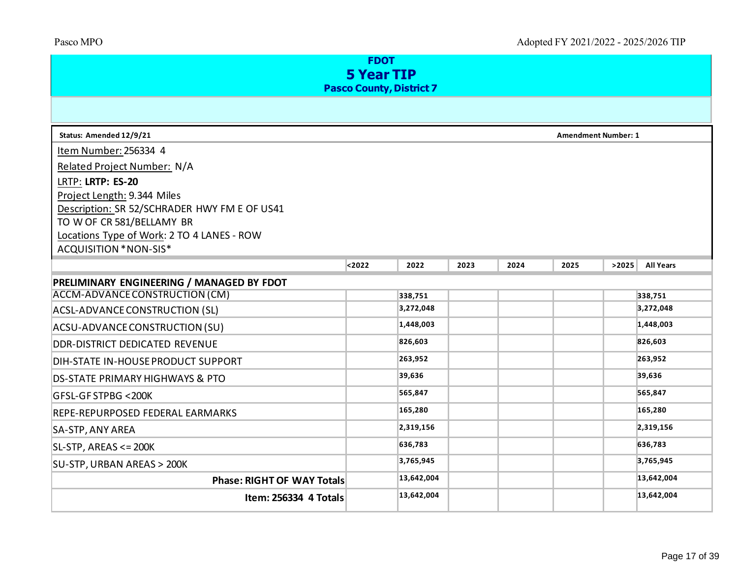| <b>FDOT</b><br><b>5 Year TIP</b>                                        |        |            |      |      |                            |       |                  |  |  |
|-------------------------------------------------------------------------|--------|------------|------|------|----------------------------|-------|------------------|--|--|
| <b>Pasco County, District 7</b>                                         |        |            |      |      |                            |       |                  |  |  |
| Status: Amended 12/9/21                                                 |        |            |      |      | <b>Amendment Number: 1</b> |       |                  |  |  |
| Item Number: 256334 4                                                   |        |            |      |      |                            |       |                  |  |  |
| Related Project Number: N/A                                             |        |            |      |      |                            |       |                  |  |  |
| LRTP: LRTP: ES-20                                                       |        |            |      |      |                            |       |                  |  |  |
| Project Length: 9.344 Miles                                             |        |            |      |      |                            |       |                  |  |  |
| Description: SR 52/SCHRADER HWY FM E OF US41                            |        |            |      |      |                            |       |                  |  |  |
| TO W OF CR 581/BELLAMY BR<br>Locations Type of Work: 2 TO 4 LANES - ROW |        |            |      |      |                            |       |                  |  |  |
| ACQUISITION *NON-SIS*                                                   |        |            |      |      |                            |       |                  |  |  |
|                                                                         | $2022$ | 2022       | 2023 | 2024 | 2025                       | >2025 | <b>All Years</b> |  |  |
| PRELIMINARY ENGINEERING / MANAGED BY FDOT                               |        |            |      |      |                            |       |                  |  |  |
| ACCM-ADVANCE CONSTRUCTION (CM)                                          |        | 338,751    |      |      |                            |       | 338,751          |  |  |
| <b>ACSL-ADVANCE CONSTRUCTION (SL)</b>                                   |        | 3,272,048  |      |      |                            |       | 3,272,048        |  |  |
| ACSU-ADVANCE CONSTRUCTION (SU)                                          |        | 1,448,003  |      |      |                            |       | 1,448,003        |  |  |
| DDR-DISTRICT DEDICATED REVENUE                                          |        | 826,603    |      |      |                            |       | 826,603          |  |  |
| DIH-STATE IN-HOUSE PRODUCT SUPPORT                                      |        | 263,952    |      |      |                            |       | 263,952          |  |  |
| <b>DS-STATE PRIMARY HIGHWAYS &amp; PTO</b>                              |        | 39,636     |      |      |                            |       | 39,636           |  |  |
| GFSL-GF STPBG <200K                                                     |        | 565,847    |      |      |                            |       | 565,847          |  |  |
| REPE-REPURPOSED FEDERAL EARMARKS                                        |        | 165,280    |      |      |                            |       | 165,280          |  |  |
| SA-STP, ANY AREA                                                        |        | 2,319,156  |      |      |                            |       | 2,319,156        |  |  |
| $SL-STP$ , AREAS <= 200K                                                |        | 636,783    |      |      |                            |       | 636,783          |  |  |
| SU-STP, URBAN AREAS > 200K                                              |        | 3,765,945  |      |      |                            |       | 3,765,945        |  |  |
| <b>Phase: RIGHT OF WAY Totals</b>                                       |        | 13,642,004 |      |      |                            |       | 13,642,004       |  |  |
| Item: 256334 4 Totals                                                   |        | 13,642,004 |      |      |                            |       | 13,642,004       |  |  |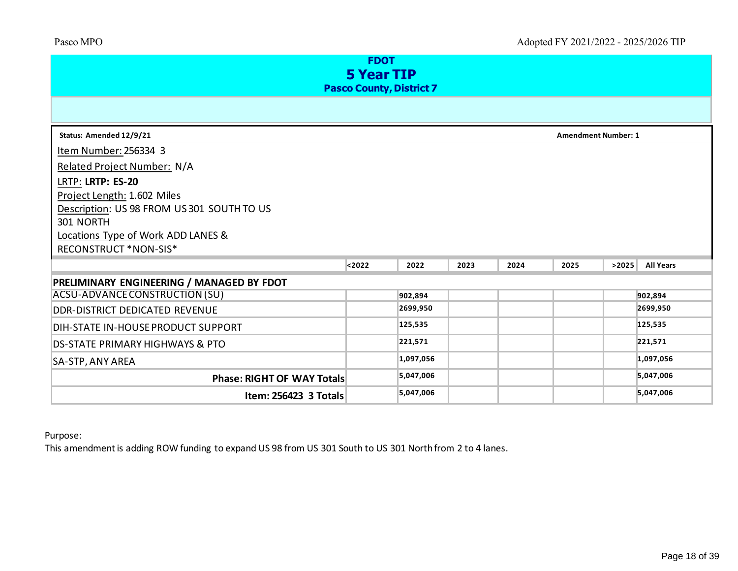| <b>FDOT</b><br><b>5 Year TIP</b><br><b>Pasco County, District 7</b> |        |           |      |      |                            |       |                  |  |  |
|---------------------------------------------------------------------|--------|-----------|------|------|----------------------------|-------|------------------|--|--|
|                                                                     |        |           |      |      |                            |       |                  |  |  |
| Status: Amended 12/9/21                                             |        |           |      |      | <b>Amendment Number: 1</b> |       |                  |  |  |
| Item Number: 256334 3                                               |        |           |      |      |                            |       |                  |  |  |
| Related Project Number: N/A                                         |        |           |      |      |                            |       |                  |  |  |
| LRTP: LRTP: ES-20                                                   |        |           |      |      |                            |       |                  |  |  |
| Project Length: 1.602 Miles                                         |        |           |      |      |                            |       |                  |  |  |
| Description: US 98 FROM US 301 SOUTH TO US                          |        |           |      |      |                            |       |                  |  |  |
| 301 NORTH                                                           |        |           |      |      |                            |       |                  |  |  |
| Locations Type of Work ADD LANES &                                  |        |           |      |      |                            |       |                  |  |  |
| RECONSTRUCT *NON-SIS*                                               |        |           |      |      |                            |       |                  |  |  |
|                                                                     | < 2022 | 2022      | 2023 | 2024 | 2025                       | >2025 | <b>All Years</b> |  |  |
| PRELIMINARY ENGINEERING / MANAGED BY FDOT                           |        |           |      |      |                            |       |                  |  |  |
| ACSU-ADVANCE CONSTRUCTION (SU)                                      |        | 902,894   |      |      |                            |       | 902,894          |  |  |
| DDR-DISTRICT DEDICATED REVENUE                                      |        | 2699,950  |      |      |                            |       | 2699,950         |  |  |
| DIH-STATE IN-HOUSE PRODUCT SUPPORT                                  |        | 125,535   |      |      |                            |       | 125,535          |  |  |
| <b>DS-STATE PRIMARY HIGHWAYS &amp; PTO</b>                          |        | 221,571   |      |      |                            |       | 221,571          |  |  |
| SA-STP, ANY AREA                                                    |        | 1,097,056 |      |      |                            |       | 1,097,056        |  |  |
| Phase: RIGHT OF WAY Totals                                          |        | 5,047,006 |      |      |                            |       | 5,047,006        |  |  |
| Item: 256423 3 Totals                                               |        | 5,047,006 |      |      |                            |       | 5,047,006        |  |  |

#### Purpose:

This amendment is adding ROW funding to expand US 98 from US 301 South to US 301 North from 2 to 4 lanes.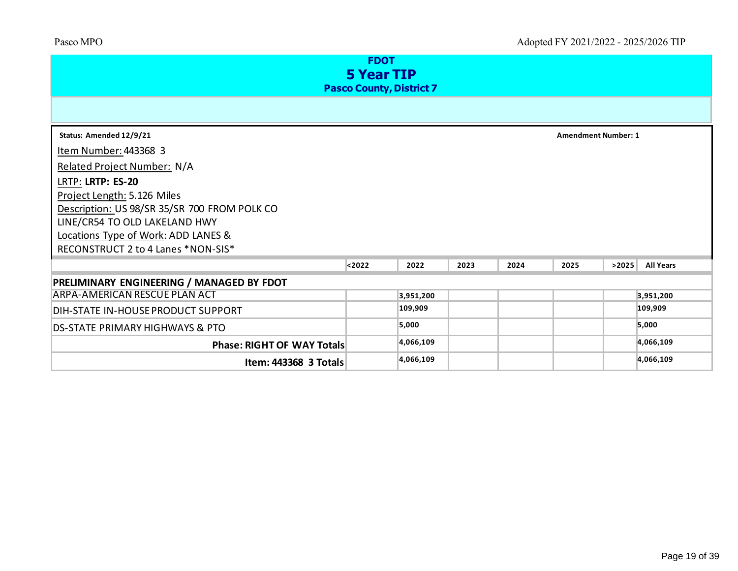| <b>FDOT</b><br><b>5 Year TIP</b><br><b>Pasco County, District 7</b> |        |           |      |      |                            |       |                  |  |  |  |
|---------------------------------------------------------------------|--------|-----------|------|------|----------------------------|-------|------------------|--|--|--|
|                                                                     |        |           |      |      |                            |       |                  |  |  |  |
| Status: Amended 12/9/21                                             |        |           |      |      | <b>Amendment Number: 1</b> |       |                  |  |  |  |
| Item Number: 443368 3                                               |        |           |      |      |                            |       |                  |  |  |  |
| <b>Related Project Number: N/A</b>                                  |        |           |      |      |                            |       |                  |  |  |  |
| LRTP: LRTP: ES-20                                                   |        |           |      |      |                            |       |                  |  |  |  |
| Project Length: 5.126 Miles                                         |        |           |      |      |                            |       |                  |  |  |  |
| Description: US 98/SR 35/SR 700 FROM POLK CO                        |        |           |      |      |                            |       |                  |  |  |  |
| LINE/CR54 TO OLD LAKELAND HWY                                       |        |           |      |      |                            |       |                  |  |  |  |
| Locations Type of Work: ADD LANES &                                 |        |           |      |      |                            |       |                  |  |  |  |
| RECONSTRUCT 2 to 4 Lanes *NON-SIS*                                  |        |           |      |      |                            |       |                  |  |  |  |
|                                                                     | $2022$ | 2022      | 2023 | 2024 | 2025                       | >2025 | <b>All Years</b> |  |  |  |
| PRELIMINARY ENGINEERING / MANAGED BY FDOT                           |        |           |      |      |                            |       |                  |  |  |  |
| <b>ARPA-AMERICAN RESCUE PLAN ACT</b>                                |        | 3,951,200 |      |      |                            |       | 3,951,200        |  |  |  |
| DIH-STATE IN-HOUSE PRODUCT SUPPORT                                  |        | 109,909   |      |      |                            |       | 109,909          |  |  |  |
| <b>DS-STATE PRIMARY HIGHWAYS &amp; PTO</b>                          |        | 5,000     |      |      |                            |       | 5,000            |  |  |  |
| <b>Phase: RIGHT OF WAY Totals</b>                                   |        | 4,066,109 |      |      |                            |       | 4,066,109        |  |  |  |
| Item: 443368 3 Totals                                               |        | 4,066,109 |      |      |                            |       | 4,066,109        |  |  |  |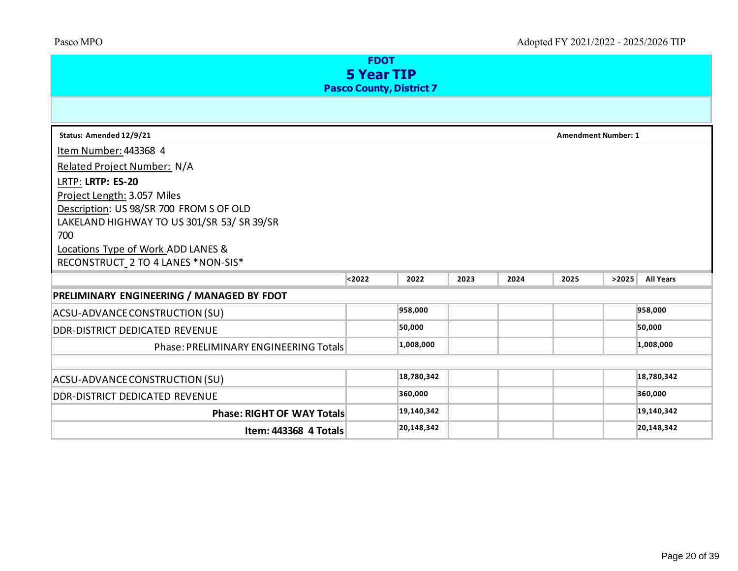| <b>FDOT</b><br><b>5 Year TIP</b>           |        |            |      |      |                            |       |                  |  |  |  |
|--------------------------------------------|--------|------------|------|------|----------------------------|-------|------------------|--|--|--|
| <b>Pasco County, District 7</b>            |        |            |      |      |                            |       |                  |  |  |  |
|                                            |        |            |      |      |                            |       |                  |  |  |  |
| Status: Amended 12/9/21                    |        |            |      |      | <b>Amendment Number: 1</b> |       |                  |  |  |  |
| Item Number: 443368 4                      |        |            |      |      |                            |       |                  |  |  |  |
| Related Project Number: N/A                |        |            |      |      |                            |       |                  |  |  |  |
| LRTP: LRTP: ES-20                          |        |            |      |      |                            |       |                  |  |  |  |
| Project Length: 3.057 Miles                |        |            |      |      |                            |       |                  |  |  |  |
| Description: US 98/SR 700 FROM S OF OLD    |        |            |      |      |                            |       |                  |  |  |  |
| LAKELAND HIGHWAY TO US 301/SR 53/ SR 39/SR |        |            |      |      |                            |       |                  |  |  |  |
| 700                                        |        |            |      |      |                            |       |                  |  |  |  |
| Locations Type of Work ADD LANES &         |        |            |      |      |                            |       |                  |  |  |  |
| RECONSTRUCT_2 TO 4 LANES *NON-SIS*         |        |            |      |      |                            |       |                  |  |  |  |
|                                            | $2022$ | 2022       | 2023 | 2024 | 2025                       | >2025 | <b>All Years</b> |  |  |  |
| PRELIMINARY ENGINEERING / MANAGED BY FDOT  |        |            |      |      |                            |       |                  |  |  |  |
| ACSU-ADVANCE CONSTRUCTION (SU)             |        | 958,000    |      |      |                            |       | 958,000          |  |  |  |
| DDR-DISTRICT DEDICATED REVENUE             |        | 50,000     |      |      |                            |       | 50,000           |  |  |  |
| Phase: PRELIMINARY ENGINEERING Totals      |        | 1,008,000  |      |      |                            |       | 1,008,000        |  |  |  |
|                                            |        |            |      |      |                            |       |                  |  |  |  |
| ACSU-ADVANCE CONSTRUCTION (SU)             |        | 18,780,342 |      |      |                            |       | 18,780,342       |  |  |  |
| DDR-DISTRICT DEDICATED REVENUE             |        | 360,000    |      |      |                            |       | 360,000          |  |  |  |
| <b>Phase: RIGHT OF WAY Totals</b>          |        | 19,140,342 |      |      |                            |       | 19,140,342       |  |  |  |
| Item: 443368 4 Totals                      |        | 20,148,342 |      |      |                            |       | 20,148,342       |  |  |  |